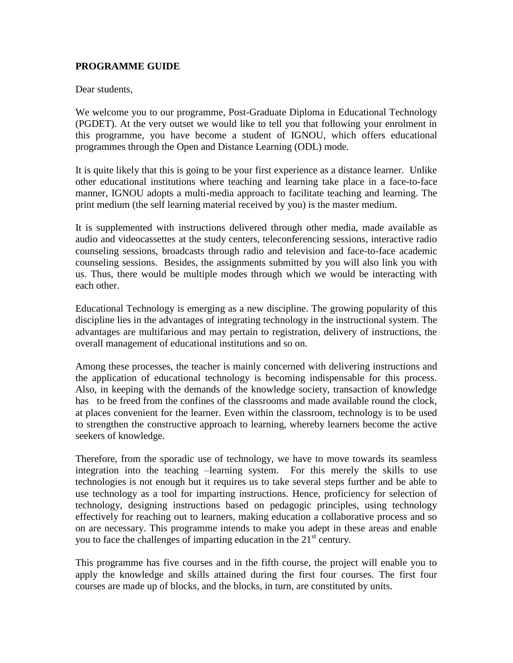## **PROGRAMME GUIDE**

Dear students,

We welcome you to our programme, Post-Graduate Diploma in Educational Technology (PGDET). At the very outset we would like to tell you that following your enrolment in this programme, you have become a student of IGNOU, which offers educational programmes through the Open and Distance Learning (ODL) mode.

It is quite likely that this is going to be your first experience as a distance learner. Unlike other educational institutions where teaching and learning take place in a face-to-face manner, IGNOU adopts a multi-media approach to facilitate teaching and learning. The print medium (the self learning material received by you) is the master medium.

It is supplemented with instructions delivered through other media, made available as audio and videocassettes at the study centers, teleconferencing sessions, interactive radio counseling sessions, broadcasts through radio and television and face-to-face academic counseling sessions. Besides, the assignments submitted by you will also link you with us. Thus, there would be multiple modes through which we would be interacting with each other.

Educational Technology is emerging as a new discipline. The growing popularity of this discipline lies in the advantages of integrating technology in the instructional system. The advantages are multifarious and may pertain to registration, delivery of instructions, the overall management of educational institutions and so on.

Among these processes, the teacher is mainly concerned with delivering instructions and the application of educational technology is becoming indispensable for this process. Also, in keeping with the demands of the knowledge society, transaction of knowledge has to be freed from the confines of the classrooms and made available round the clock, at places convenient for the learner. Even within the classroom, technology is to be used to strengthen the constructive approach to learning, whereby learners become the active seekers of knowledge.

Therefore, from the sporadic use of technology, we have to move towards its seamless integration into the teaching –learning system. For this merely the skills to use technologies is not enough but it requires us to take several steps further and be able to use technology as a tool for imparting instructions. Hence, proficiency for selection of technology, designing instructions based on pedagogic principles, using technology effectively for reaching out to learners, making education a collaborative process and so on are necessary. This programme intends to make you adept in these areas and enable you to face the challenges of imparting education in the  $21<sup>st</sup>$  century.

This programme has five courses and in the fifth course, the project will enable you to apply the knowledge and skills attained during the first four courses. The first four courses are made up of blocks, and the blocks, in turn, are constituted by units.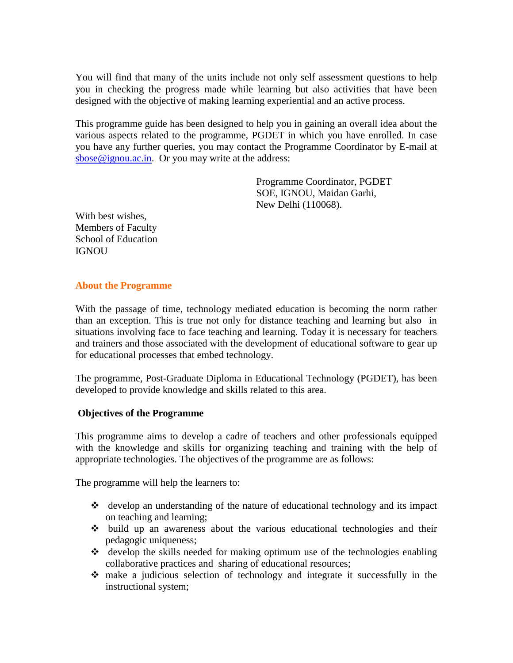You will find that many of the units include not only self assessment questions to help you in checking the progress made while learning but also activities that have been designed with the objective of making learning experiential and an active process.

This programme guide has been designed to help you in gaining an overall idea about the various aspects related to the programme, PGDET in which you have enrolled. In case you have any further queries, you may contact the Programme Coordinator by E-mail at [sbose@ignou.ac.in.](mailto:sbose@ignou.ac.in) Or you may write at the address:

> Programme Coordinator, PGDET SOE, IGNOU, Maidan Garhi, New Delhi (110068).

With best wishes, Members of Faculty School of Education **IGNOU** 

### **About the Programme**

With the passage of time, technology mediated education is becoming the norm rather than an exception. This is true not only for distance teaching and learning but also in situations involving face to face teaching and learning. Today it is necessary for teachers and trainers and those associated with the development of educational software to gear up for educational processes that embed technology.

The programme, Post-Graduate Diploma in Educational Technology (PGDET), has been developed to provide knowledge and skills related to this area.

# **Objectives of the Programme**

This programme aims to develop a cadre of teachers and other professionals equipped with the knowledge and skills for organizing teaching and training with the help of appropriate technologies. The objectives of the programme are as follows:

The programme will help the learners to:

- develop an understanding of the nature of educational technology and its impact on teaching and learning;
- $\cdot \cdot$  build up an awareness about the various educational technologies and their pedagogic uniqueness;
- develop the skills needed for making optimum use of the technologies enabling collaborative practices and sharing of educational resources;
- make a judicious selection of technology and integrate it successfully in the instructional system;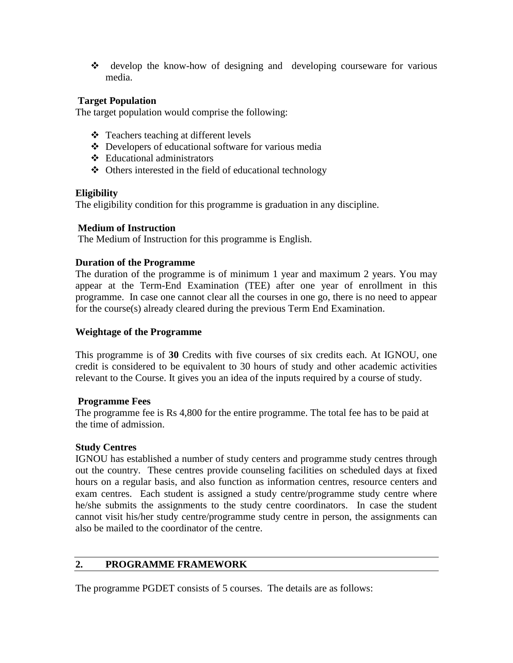develop the know-how of designing and developing courseware for various media.

## **Target Population**

The target population would comprise the following:

- $\triangleleft$  Teachers teaching at different levels
- Developers of educational software for various media
- Educational administrators
- Others interested in the field of educational technology

## **Eligibility**

The eligibility condition for this programme is graduation in any discipline.

### **Medium of Instruction**

The Medium of Instruction for this programme is English.

## **Duration of the Programme**

The duration of the programme is of minimum 1 year and maximum 2 years. You may appear at the Term-End Examination (TEE) after one year of enrollment in this programme. In case one cannot clear all the courses in one go, there is no need to appear for the course(s) already cleared during the previous Term End Examination.

### **Weightage of the Programme**

This programme is of **30** Credits with five courses of six credits each. At IGNOU, one credit is considered to be equivalent to 30 hours of study and other academic activities relevant to the Course. It gives you an idea of the inputs required by a course of study.

### **Programme Fees**

The programme fee is Rs 4,800 for the entire programme. The total fee has to be paid at the time of admission.

### **Study Centres**

IGNOU has established a number of study centers and programme study centres through out the country. These centres provide counseling facilities on scheduled days at fixed hours on a regular basis, and also function as information centres, resource centers and exam centres. Each student is assigned a study centre/programme study centre where he/she submits the assignments to the study centre coordinators. In case the student cannot visit his/her study centre/programme study centre in person, the assignments can also be mailed to the coordinator of the centre.

# **2. PROGRAMME FRAMEWORK**

The programme PGDET consists of 5 courses. The details are as follows: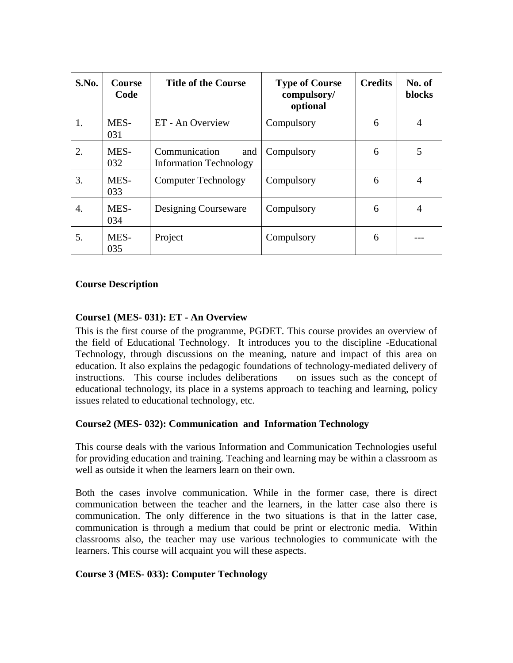| S.No. | Course<br>Code | <b>Title of the Course</b>                            | <b>Type of Course</b><br>compulsory/<br>optional | <b>Credits</b> | No. of<br>blocks |
|-------|----------------|-------------------------------------------------------|--------------------------------------------------|----------------|------------------|
| 1.    | MES-<br>031    | ET - An Overview                                      | Compulsory                                       | 6              | $\overline{4}$   |
| 2.    | MES-<br>032    | Communication<br>and<br><b>Information Technology</b> | Compulsory                                       | 6              | 5                |
| 3.    | MES-<br>033    | <b>Computer Technology</b>                            | Compulsory                                       | 6              | $\overline{4}$   |
| 4.    | MES-<br>034    | Designing Courseware                                  | Compulsory                                       | 6              | 4                |
| 5.    | MES-<br>035    | Project                                               | Compulsory                                       | 6              |                  |

## **Course Description**

## **Course1 (MES- 031): ET - An Overview**

This is the first course of the programme, PGDET. This course provides an overview of the field of Educational Technology. It introduces you to the discipline -Educational Technology, through discussions on the meaning, nature and impact of this area on education. It also explains the pedagogic foundations of technology-mediated delivery of instructions. This course includes deliberations on issues such as the concept of educational technology, its place in a systems approach to teaching and learning, policy issues related to educational technology, etc.

### **Course2 (MES- 032): Communication and Information Technology**

This course deals with the various Information and Communication Technologies useful for providing education and training. Teaching and learning may be within a classroom as well as outside it when the learners learn on their own.

Both the cases involve communication. While in the former case, there is direct communication between the teacher and the learners, in the latter case also there is communication. The only difference in the two situations is that in the latter case, communication is through a medium that could be print or electronic media. Within classrooms also, the teacher may use various technologies to communicate with the learners. This course will acquaint you will these aspects.

### **Course 3 (MES- 033): Computer Technology**